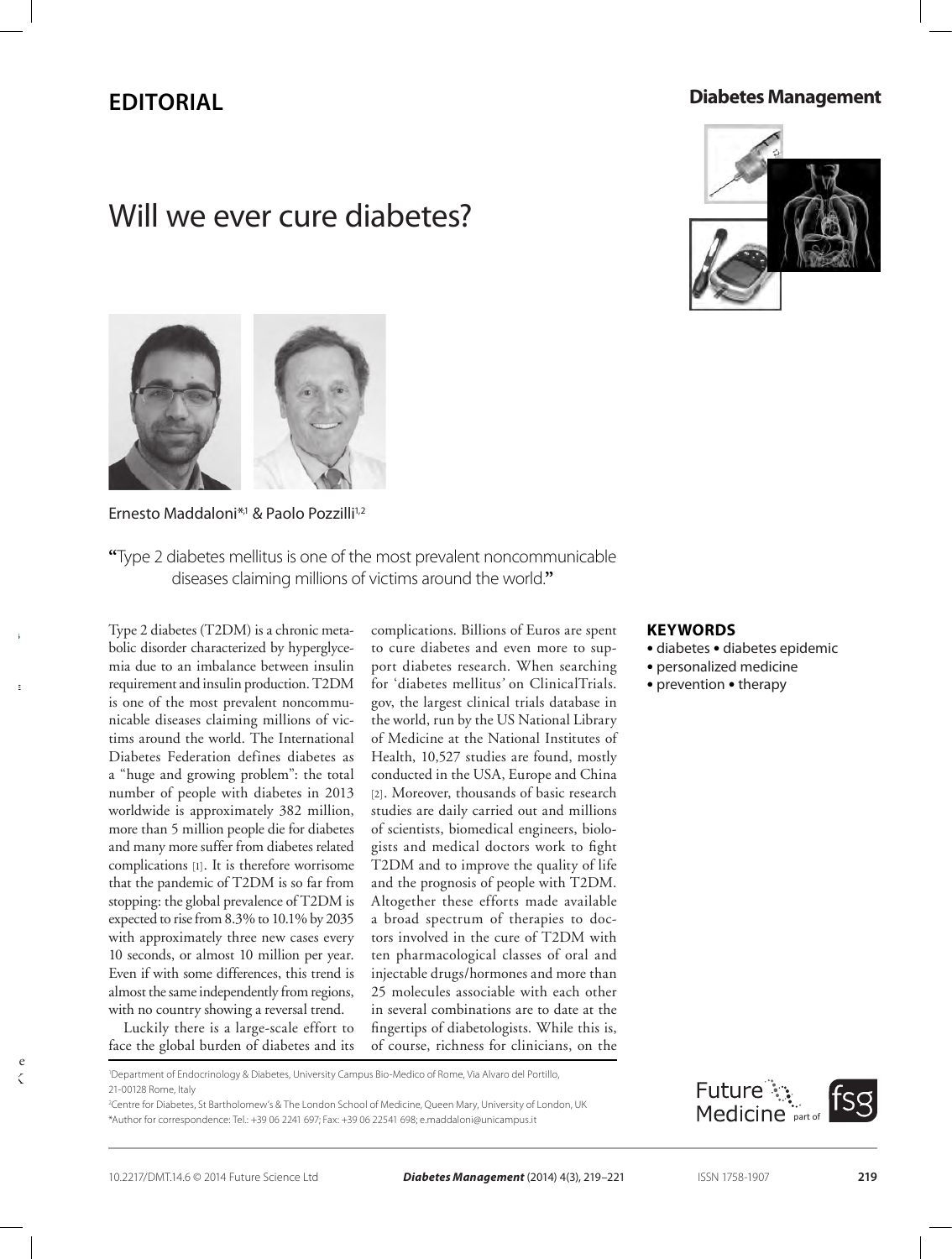## **Review Editorial**

## **Diabetes Management**

# Will we ever cure diabetes?





## Ernesto Maddaloni<sup>\*,1</sup> & Paolo Pozzilli<sup>1,2</sup>

**"**Type 2 diabetes mellitus is one of the most prevalent noncommunicable diseases claiming millions of victims around the world.**"**

Type 2 diabetes (T2DM) is a chronic metabolic disorder characterized by hyperglycemia due to an imbalance between insulin requirement and insulin production. T2DM is one of the most prevalent noncommunicable diseases claiming millions of victims around the world. The International Diabetes Federation defines diabetes as a "huge and growing problem": the total number of people with diabetes in 2013 worldwide is approximately 382 million, more than 5 million people die for diabetes and many more suffer from diabetes related complications [1]. It is therefore worrisome that the pandemic of T2DM is so far from stopping: the global prevalence of T2DM is expected to rise from 8.3% to 10.1% by 2035 with approximately three new cases every 10 seconds, or almost 10 million per year. Even if with some differences, this trend is almost the same independently from regions, with no country showing a reversal trend.

Luckily there is a large-scale effort to face the global burden of diabetes and its complications. Billions of Euros are spent to cure diabetes and even more to support diabetes research. When searching for 'diabetes mellitus*'* on ClinicalTrials. gov, the largest clinical trials database in the world, run by the US National Library of Medicine at the National Institutes of Health, 10,527 studies are found, mostly conducted in the USA, Europe and China [2]. Moreover, thousands of basic research studies are daily carried out and millions of scientists, biomedical engineers, biologists and medical doctors work to fight T2DM and to improve the quality of life and the prognosis of people with T2DM. Altogether these efforts made available a broad spectrum of therapies to doctors involved in the cure of T2DM with ten pharmacological classes of oral and injectable drugs/hormones and more than 25 molecules associable with each other in several combinations are to date at the fingertips of diabetologists. While this is, of course, richness for clinicians, on the

### **Keywords**

- diabetes diabetes epidemic
- personalized medicine
- prevention therapy

2 Centre for Diabetes, St Bartholomew's & The London School of Medicine, Queen Mary, University of London, UK \*Author for correspondence: Tel.: +39 06 2241 697; Fax: +39 06 22541 698; e.maddaloni@unicampus.it



 $e$  $\sim$ 

**10.2217/DMT.14.6**

**© 2014 Future**

<sup>1</sup> Department of Endocrinology & Diabetes, University Campus Bio-Medico of Rome, Via Alvaro del Portillo, 21-00128 Rome, Italy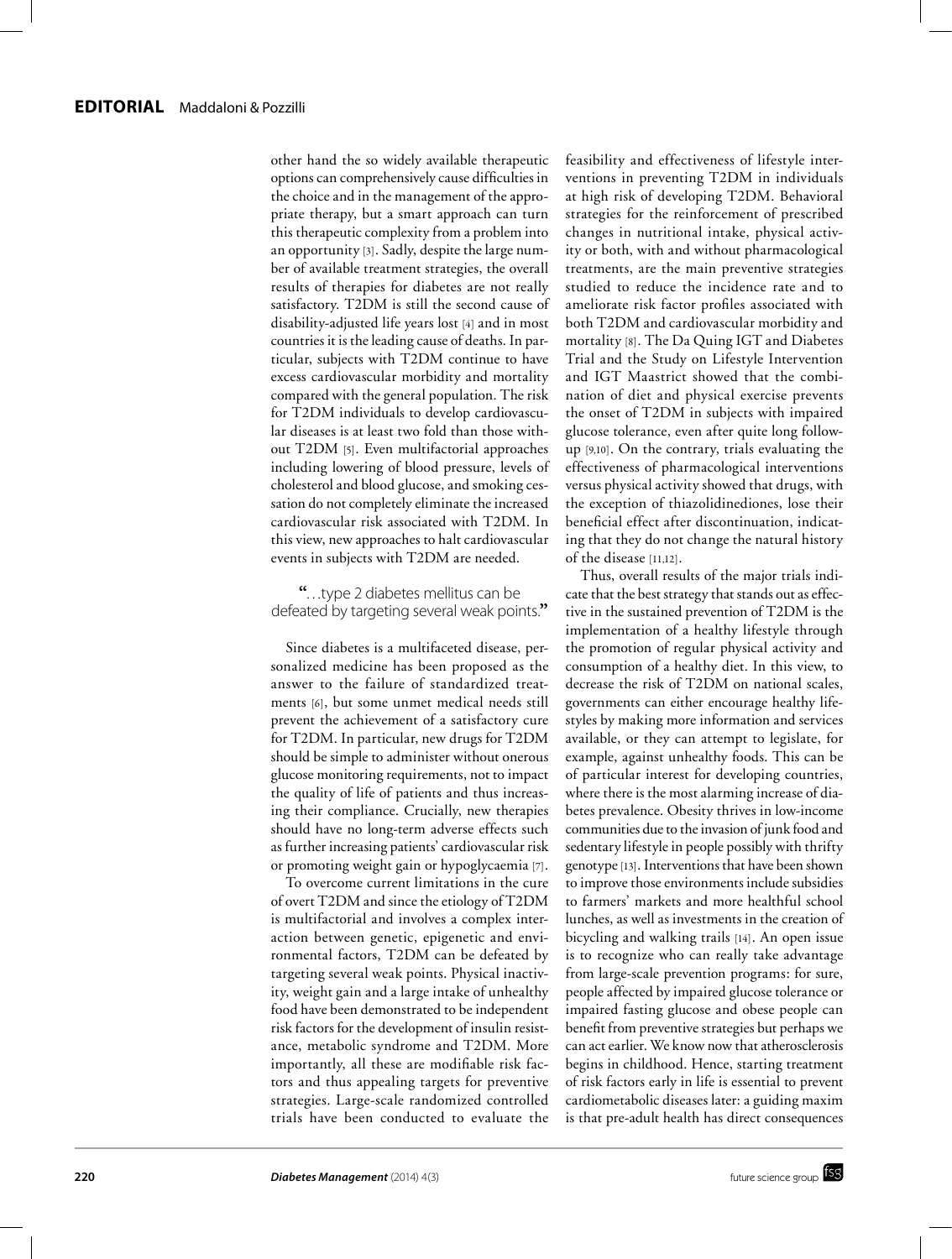other hand the so widely available therapeutic options can comprehensively cause difficulties in the choice and in the management of the appropriate therapy, but a smart approach can turn this therapeutic complexity from a problem into an opportunity [3]. Sadly, despite the large number of available treatment strategies, the overall results of therapies for diabetes are not really satisfactory. T2DM is still the second cause of disability-adjusted life years lost [4] and in most countries it is the leading cause of deaths. In particular, subjects with T2DM continue to have excess cardiovascular morbidity and mortality compared with the general population. The risk for T2DM individuals to develop cardiovascular diseases is at least two fold than those without T2DM [5]. Even multifactorial approaches including lowering of blood pressure, levels of cholesterol and blood glucose, and smoking cessation do not completely eliminate the increased cardiovascular risk associated with T2DM. In this view, new approaches to halt cardiovascular events in subjects with T2DM are needed.

**"**…type 2 diabetes mellitus can be defeated by targeting several weak points.**"**

Since diabetes is a multifaceted disease, personalized medicine has been proposed as the answer to the failure of standardized treatments [6], but some unmet medical needs still prevent the achievement of a satisfactory cure for T2DM. In particular, new drugs for T2DM should be simple to administer without onerous glucose monitoring requirements, not to impact the quality of life of patients and thus increasing their compliance. Crucially, new therapies should have no long-term adverse effects such as further increasing patients' cardiovascular risk or promoting weight gain or hypoglycaemia [7].

To overcome current limitations in the cure of overt T2DM and since the etiology of T2DM is multifactorial and involves a complex interaction between genetic, epigenetic and environmental factors, T2DM can be defeated by targeting several weak points. Physical inactivity, weight gain and a large intake of unhealthy food have been demonstrated to be independent risk factors for the development of insulin resistance, metabolic syndrome and T2DM. More importantly, all these are modifiable risk factors and thus appealing targets for preventive strategies. Large-scale randomized controlled trials have been conducted to evaluate the feasibility and effectiveness of lifestyle interventions in preventing T2DM in individuals at high risk of developing T2DM. Behavioral strategies for the reinforcement of prescribed changes in nutritional intake, physical activity or both, with and without pharmacological treatments, are the main preventive strategies studied to reduce the incidence rate and to ameliorate risk factor profiles associated with both T2DM and cardiovascular morbidity and mortality [8]. The Da Quing IGT and Diabetes Trial and the Study on Lifestyle Intervention and IGT Maastrict showed that the combination of diet and physical exercise prevents the onset of T2DM in subjects with impaired glucose tolerance, even after quite long followup [9,10]. On the contrary, trials evaluating the effectiveness of pharmacological interventions versus physical activity showed that drugs, with the exception of thiazolidinediones, lose their beneficial effect after discontinuation, indicating that they do not change the natural history of the disease [11,12].

Thus, overall results of the major trials indicate that the best strategy that stands out as effective in the sustained prevention of T2DM is the implementation of a healthy lifestyle through the promotion of regular physical activity and consumption of a healthy diet. In this view, to decrease the risk of T2DM on national scales, governments can either encourage healthy lifestyles by making more information and services available, or they can attempt to legislate, for example, against unhealthy foods. This can be of particular interest for developing countries, where there is the most alarming increase of diabetes prevalence. Obesity thrives in low-income communities due to the invasion of junk food and sedentary lifestyle in people possibly with thrifty genotype [13]. Interventions that have been shown to improve those environments include subsidies to farmers' markets and more healthful school lunches, as well as investments in the creation of bicycling and walking trails [14]. An open issue is to recognize who can really take advantage from large-scale prevention programs: for sure, people affected by impaired glucose tolerance or impaired fasting glucose and obese people can benefit from preventive strategies but perhaps we can act earlier. We know now that atherosclerosis begins in childhood. Hence, starting treatment of risk factors early in life is essential to prevent cardiometabolic diseases later: a guiding maxim is that pre-adult health has direct consequences